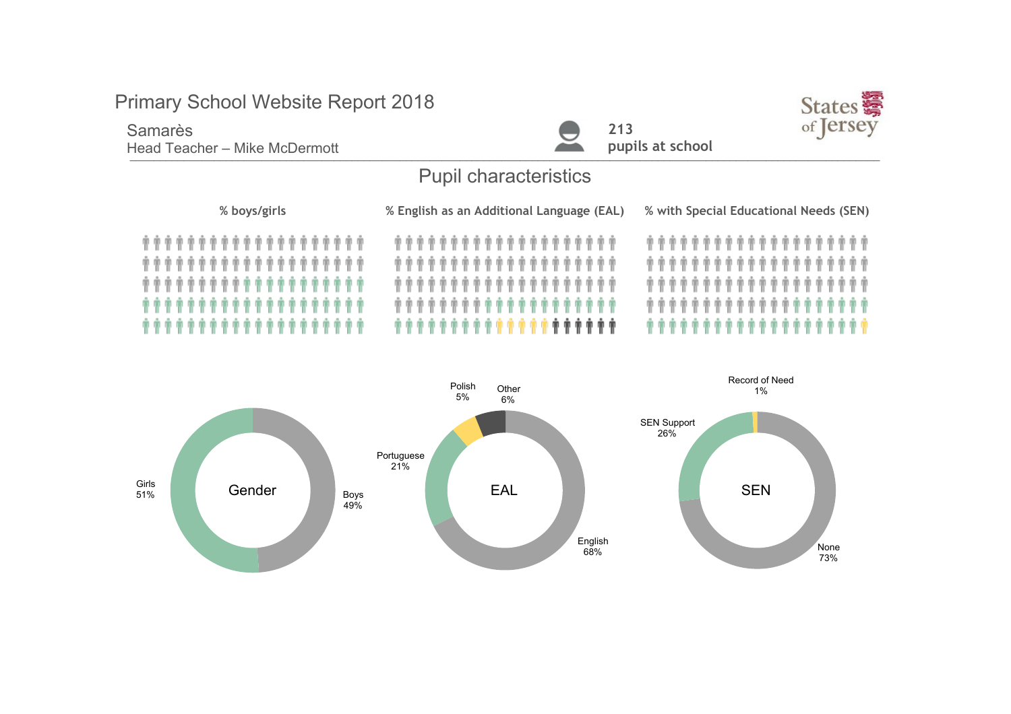### Samarès

Head Teacher – Mike McDermott **Executes and Security Containers** and pupils at school





# Pupil characteristics

| % boys/girls         | % English as an Additional Language (EAL) | % with Special Educational Needs (SEN) |  |
|----------------------|-------------------------------------------|----------------------------------------|--|
|                      |                                           |                                        |  |
|                      |                                           |                                        |  |
|                      |                                           |                                        |  |
| ******************** |                                           |                                        |  |
| ******************** | <b></b>                                   |                                        |  |

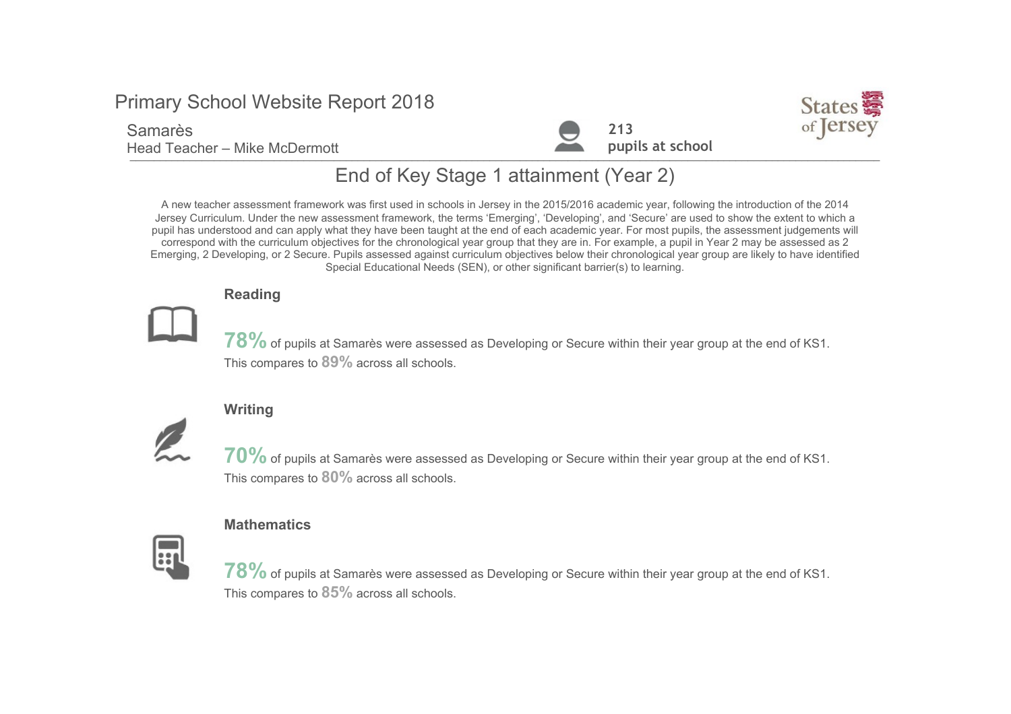### Samarès

Head Teacher – Mike McDermott





# End of Key Stage 1 attainment (Year 2)

A new teacher assessment framework was first used in schools in Jersey in the 2015/2016 academic year, following the introduction of the 2014 Jersey Curriculum. Under the new assessment framework, the terms 'Emerging', 'Developing', and 'Secure' are used to show the extent to which a pupil has understood and can apply what they have been taught at the end of each academic year. For most pupils, the assessment judgements will correspond with the curriculum objectives for the chronological year group that they are in. For example, a pupil in Year 2 may be assessed as 2 Emerging, 2 Developing, or 2 Secure. Pupils assessed against curriculum objectives below their chronological year group are likely to have identified Special Educational Needs (SEN), or other significant barrier(s) to learning.

### Reading



78% of pupils at Samarès were assessed as Developing or Secure within their year group at the end of KS1. This compares to 89% across all schools.

### **Writing**



70% of pupils at Samarès were assessed as Developing or Secure within their year group at the end of KS1. This compares to  $80\%$  across all schools.

#### **Mathematics**



 $78\%$  of pupils at Samarès were assessed as Developing or Secure within their year group at the end of KS1. This compares to  $85%$  across all schools.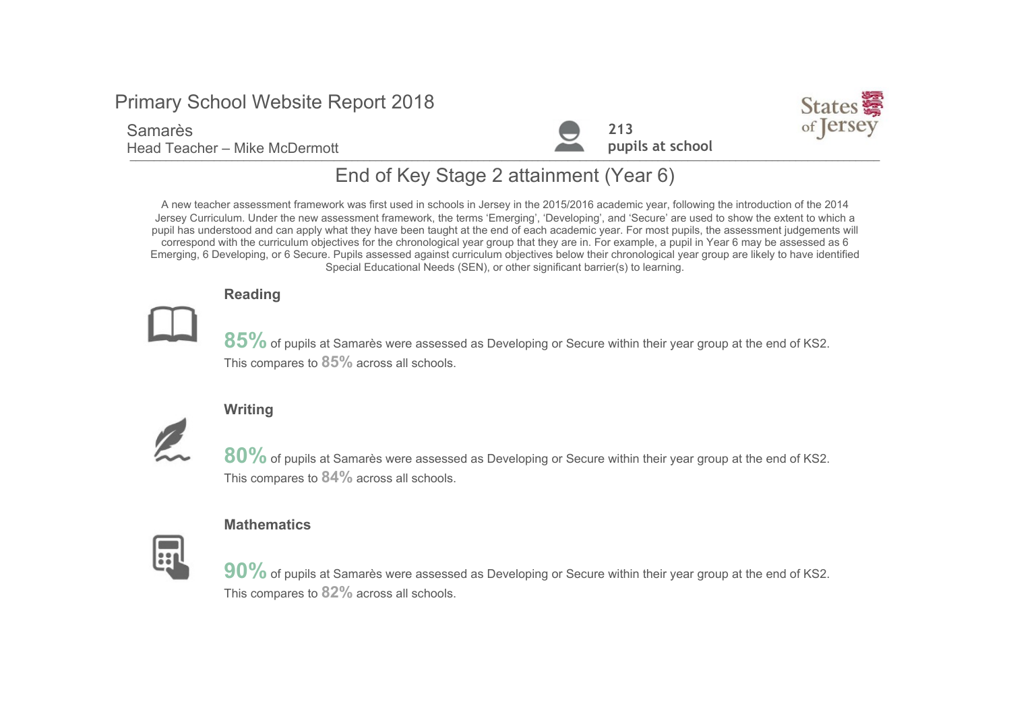### Samarès

Head Teacher – Mike McDermott





# End of Key Stage 2 attainment (Year 6)

A new teacher assessment framework was first used in schools in Jersey in the 2015/2016 academic year, following the introduction of the 2014 Jersey Curriculum. Under the new assessment framework, the terms 'Emerging', 'Developing', and 'Secure' are used to show the extent to which a pupil has understood and can apply what they have been taught at the end of each academic year. For most pupils, the assessment judgements will correspond with the curriculum objectives for the chronological year group that they are in. For example, a pupil in Year 6 may be assessed as 6 Emerging, 6 Developing, or 6 Secure. Pupils assessed against curriculum objectives below their chronological year group are likely to have identified Special Educational Needs (SEN), or other significant barrier(s) to learning.

### Reading



 $85\%$  of pupils at Samarès were assessed as Developing or Secure within their year group at the end of KS2. This compares to  $85%$  across all schools.

### **Writing**



80% of pupils at Samarès were assessed as Developing or Secure within their year group at the end of KS2. This compares to  $84\%$  across all schools.

#### **Mathematics**



90% of pupils at Samarès were assessed as Developing or Secure within their year group at the end of KS2. This compares to 82% across all schools.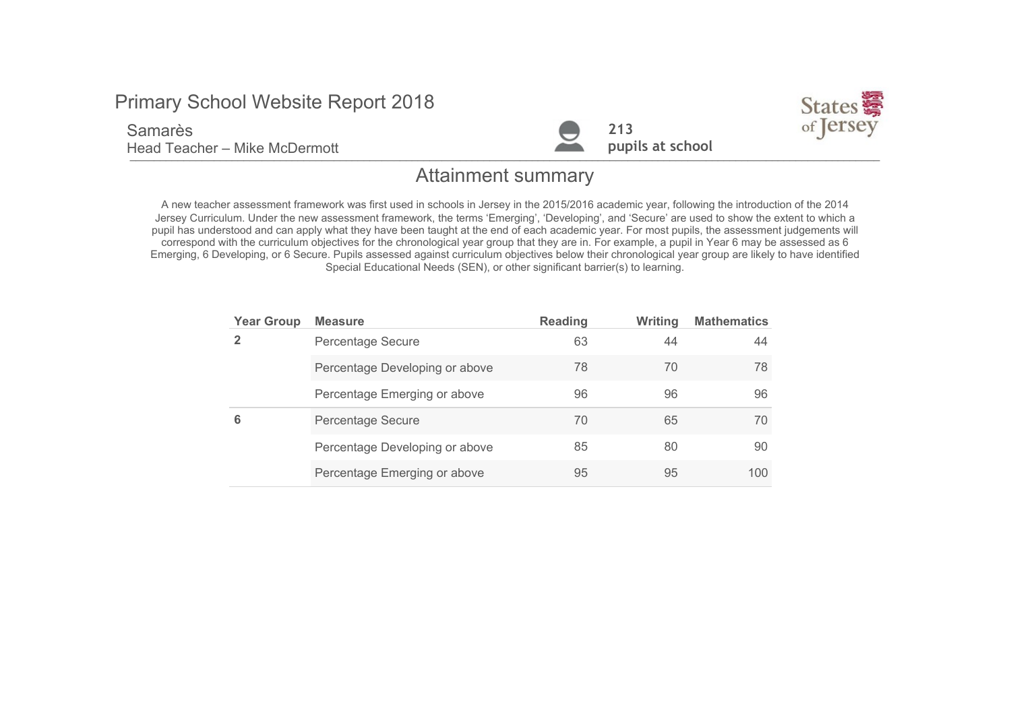Samarès

Head Teacher - Mike McDermott





### Attainment summary

A new teacher assessment framework was first used in schools in Jersey in the 2015/2016 academic year, following the introduction of the 2014 Jersey Curriculum. Under the new assessment framework, the terms 'Emerging', 'Developing', and 'Secure' are used to show the extent to which a pupil has understood and can apply what they have been taught at the end of each academic year. For most pupils, the assessment judgements will correspond with the curriculum objectives for the chronological year group that they are in. For example, a pupil in Year 6 may be assessed as 6 Emerging, 6 Developing, or 6 Secure. Pupils assessed against curriculum objectives below their chronological year group are likely to have identified Special Educational Needs (SEN), or other significant barrier(s) to learning.

| <b>Year Group</b> | <b>Measure</b>                 | <b>Reading</b> | <b>Writing</b> | <b>Mathematics</b> |
|-------------------|--------------------------------|----------------|----------------|--------------------|
| 2                 | Percentage Secure              | 63             | 44             | 44                 |
|                   | Percentage Developing or above | 78             | 70             | 78                 |
|                   | Percentage Emerging or above   | 96             | 96             | 96                 |
| 6                 | Percentage Secure              | 70             | 65             | 70                 |
|                   | Percentage Developing or above | 85             | 80             | 90                 |
|                   | Percentage Emerging or above   | 95             | 95             | 100                |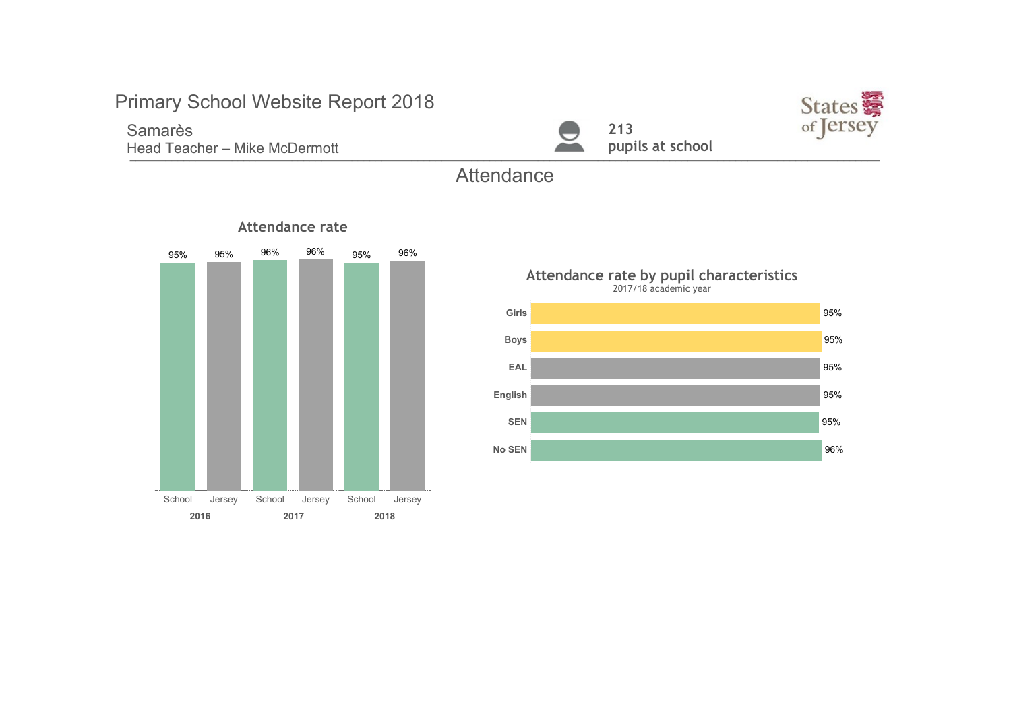Samarès Head Teacher - Mike McDermott





### **Attendance**